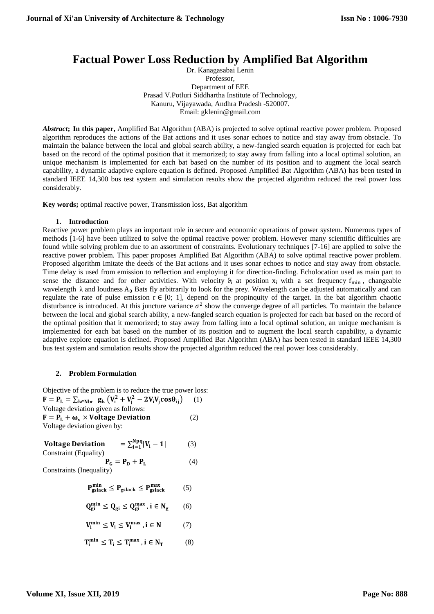# **Factual Power Loss Reduction by Amplified Bat Algorithm**

Dr. Kanagasabai Lenin Professor, Department of EEE Prasad V.Potluri Siddhartha Institute of Technology, Kanuru, Vijayawada, Andhra Pradesh -520007. Email: [gklenin@gmail.com](mailto:gklenin@gmail.com)

*Abstract***; In this paper,** Amplified Bat Algorithm (ABA) is projected to solve optimal reactive power problem. Proposed algorithm reproduces the actions of the Bat actions and it uses sonar echoes to notice and stay away from obstacle. To maintain the balance between the local and global search ability, a new-fangled search equation is projected for each bat based on the record of the optimal position that it memorized; to stay away from falling into a local optimal solution, an unique mechanism is implemented for each bat based on the number of its position and to augment the local search capability, a dynamic adaptive explore equation is defined. Proposed Amplified Bat Algorithm (ABA) has been tested in standard IEEE 14,300 bus test system and simulation results show the projected algorithm reduced the real power loss considerably.

**Key words;** optimal reactive power, Transmission loss, Bat algorithm

## **1. Introduction**

Reactive power problem plays an important role in secure and economic operations of power system. Numerous types of methods [1-6] have been utilized to solve the optimal reactive power problem. However many scientific difficulties are found while solving problem due to an assortment of constraints. Evolutionary techniques [7-16] are applied to solve the reactive power problem. This paper proposes Amplified Bat Algorithm (ABA) to solve optimal reactive power problem. Proposed algorithm Imitate the deeds of the Bat actions and it uses sonar echoes to notice and stay away from obstacle. Time delay is used from emission to reflection and employing it for direction-finding. Echolocation used as main part to sense the distance and for other activities. With velocity  $\vartheta_i$  at position  $x_i$  with a set frequency  $f_{\min}$ , changeable wavelength  $\lambda$  and loudness A<sub>0</sub> Bats fly arbitrarily to look for the prey. Wavelength can be adjusted automatically and can regulate the rate of pulse emission  $r \in [0; 1]$ , depend on the propinquity of the target. In the bat algorithm chaotic disturbance is introduced. At this juncture variance  $\sigma^2$  show the converge degree of all particles. To maintain the balance between the local and global search ability, a new-fangled search equation is projected for each bat based on the record of the optimal position that it memorized; to stay away from falling into a local optimal solution, an unique mechanism is implemented for each bat based on the number of its position and to augment the local search capability, a dynamic adaptive explore equation is defined. Proposed Amplified Bat Algorithm (ABA) has been tested in standard IEEE 14,300 bus test system and simulation results show the projected algorithm reduced the real power loss considerably.

## **2. Problem Formulation**

Objective of the problem is to reduce the true power loss:  $F = P_{L} = \sum_{k \in Nbr} g_{k} (V_{i}^{2} + V_{j}^{2} - 2V_{i}V_{j}cos\theta_{ij})$  (1) Voltage deviation given as follows:

 $F = P_L + \omega_v \times$  Voltage Deviation (2) Voltage deviation given by:

Voltage Deviation Npq  $i=1$  (3) Constraint (Equality)

$$
\mathbf{P}_{\mathbf{G}} = \mathbf{P}_{\mathbf{D}} + \mathbf{P}_{\mathbf{L}} \tag{4}
$$
  
Constraints (Inequality)

$$
P_{\text{gslack}}^{\text{min}} \le P_{\text{gslack}} \le P_{\text{gslack}}^{\text{max}} \tag{5}
$$

$$
Q_{gi}^{min} \leq Q_{gi} \leq Q_{gi}^{max} \text{ , } i \in N_g \qquad (6)
$$

$$
V_i^{min} \leq V_i \leq V_i^{max}\,, i \in N \qquad \quad (7)
$$

$$
T_i^{min} \leq T_i \leq T_i^{max}\text{ , } i \in N_T\qquad \quad \ \ (8)
$$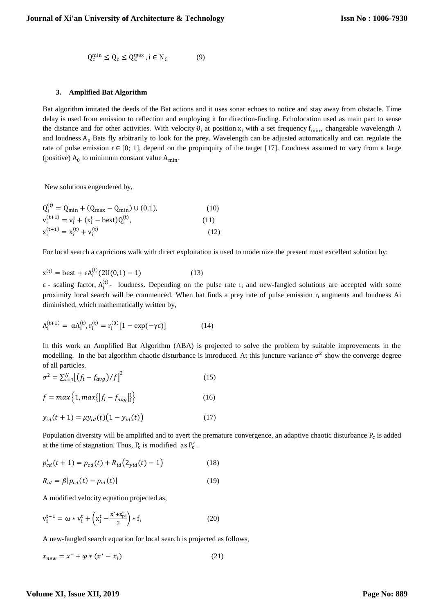$$
Q_c^{\min} \le Q_c \le Q_c^{\max}, i \in N_c \tag{9}
$$

## **3. Amplified Bat Algorithm**

Bat algorithm imitated the deeds of the Bat actions and it uses sonar echoes to notice and stay away from obstacle. Time delay is used from emission to reflection and employing it for direction-finding. Echolocation used as main part to sense the distance and for other activities. With velocity  $\theta_i$  at position  $x_i$  with a set frequency f<sub>min</sub>, changeable wavelength  $\lambda$ and loudness  $A_0$  Bats fly arbitrarily to look for the prey. Wavelength can be adjusted automatically and can regulate the rate of pulse emission  $r \in [0; 1]$ , depend on the propinquity of the target [17]. Loudness assumed to vary from a large (positive)  $A_0$  to minimum constant value  $A_{\text{min}}$ .

New solutions engendered by,

$$
Q_i^{(t)} = Q_{\min} + (Q_{\max} - Q_{\min}) \cup (0,1),
$$
  
\n
$$
v_i^{(t+1)} = v_i^t + (x_i^t - \text{best})Q_i^{(t)},
$$
  
\n
$$
x_i^{(t+1)} = x_i^{(t)} + v_i^{(t)}
$$
  
\n(12)

For local search a capricious walk with direct exploitation is used to modernize the present most excellent solution by:

$$
x^{(t)} = best + \epsilon A_i^{(t)} (2U(0,1) - 1)
$$
 (13)

 $\epsilon$  - scaling factor,  $A_i^{(t)}$  - loudness. Depending on the pulse rate  $r_i$  and new-fangled solutions are accepted with some proximity local search will be commenced. When bat finds a prey rate of pulse emission  $r_i$  augments and loudness Ai diminished, which mathematically written by,

$$
A_i^{(t+1)} = \alpha A_i^{(t)}, r_i^{(t)} = r_i^{(0)} [1 - \exp(-\gamma \epsilon)]
$$
 (14)

In this work an Amplified Bat Algorithm (ABA) is projected to solve the problem by suitable improvements in the modelling. In the bat algorithm chaotic disturbance is introduced. At this juncture variance  $\sigma^2$  show the converge degree of all particles.

$$
\sigma^2 = \sum_{i=1}^{N} [(f_i - f_{avg})/f]^2
$$
 (15)

$$
f = max\left\{1, max\{|f_i - f_{avg}|\}\right\}
$$
 (16)

$$
y_{id}(t+1) = \mu y_{id}(t) (1 - y_{id}(t))
$$
\n(17)

Population diversity will be amplified and to avert the premature convergence, an adaptive chaotic disturbance  $P_c$  is added at the time of stagnation. Thus,  $P_c$  is modified as  $P'_c$ .

$$
p'_{cd}(t+1) = p_{cd}(t) + R_{id}(2_{yid}(t) - 1)
$$
\n(18)

$$
R_{id} = \beta |p_{cd}(t) - p_{id}(t)| \qquad (19)
$$

A modified velocity equation projected as,

$$
v_i^{t+1} = \omega * v_i^t + \left(x_i^t - \frac{x^* + x_{pi}^*}{2}\right) * f_i
$$
 (20)

A new-fangled search equation for local search is projected as follows,

$$
x_{new} = x^* + \varphi * (x^* - x_i) \tag{21}
$$

## **Volume XI, Issue XII, 2019**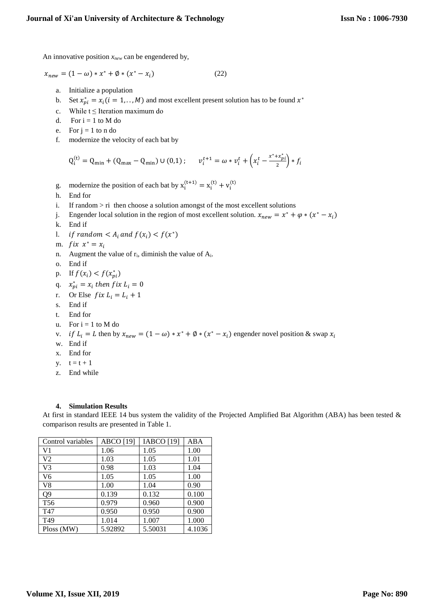An innovative position *xnew* can be engendered by,

$$
x_{new} = (1 - \omega) * x^* + \emptyset * (x^* - x_i)
$$
 (22)

- a. Initialize a population
- b. Set  $x_{pi}^* = x_i (i = 1, \dots, M)$  and most excellent present solution has to be found  $x^*$
- c. While  $t \leq$  Iteration maximum do
- d. For  $i = 1$  to M do
- e. For  $j = 1$  to n do
- f. modernize the velocity of each bat by

$$
Q_i^{(t)} = Q_{\min} + (Q_{\max} - Q_{\min}) \cup (0,1); \qquad v_i^{t+1} = \omega * v_i^t + \left(x_i^t - \frac{x^* + x_{pi}^*}{2}\right) * f_i
$$

- g. modernize the position of each bat by  $x_i^{(t+1)} = x_i^{(t)} + v_i^{(t)}$
- h. End for
- i. If random > ri then choose a solution amongst of the most excellent solutions
- j. Engender local solution in the region of most excellent solution.  $x_{new} = x^* + \varphi * (x^* x_i)$
- k. End if
- 1. if random  $\langle A_i \text{ and } f(x_i) \rangle f(x^*)$
- m.  $fix x^* = x_i$
- n. Augment the value of  $r_i$ , diminish the value of  $A_i$ .
- o. End if
- p. If  $f(x_i) < f(x_{pi}^*)$
- q.  $x_{pi}^* = x_i$  then f ix  $L_i = 0$
- r. Or Else  $fix L_i = L_i + 1$
- s. End if
- t. End for
- u. For  $i = 1$  to M do
- v. if  $L_i = L$  then by  $x_{new} = (1 \omega) * x^* + \emptyset * (x^* x_i)$  engender novel position & swap  $x_i$
- w. End if
- x. End for
- $y. \t t = t + 1$
- z. End while

## **4. Simulation Results**

At first in standard IEEE 14 bus system the validity of the Projected Amplified Bat Algorithm (ABA) has been tested & comparison results are presented in Table 1.

| Control variables | <b>ABCO</b> [19]<br><b>IABCO</b> [19] |         | ABA    |
|-------------------|---------------------------------------|---------|--------|
| V <sub>1</sub>    | 1.06                                  | 1.05    | 1.00   |
| V <sub>2</sub>    | 1.03                                  | 1.05    | 1.01   |
| V <sub>3</sub>    | 0.98                                  | 1.03    | 1.04   |
| V <sub>6</sub>    | 1.05                                  | 1.05    | 1.00   |
| V8                | 1.00                                  | 1.04    | 0.90   |
| Q <sub>9</sub>    | 0.139                                 | 0.132   | 0.100  |
| T <sub>56</sub>   | 0.979                                 | 0.960   | 0.900  |
| T <sub>47</sub>   | 0.950                                 | 0.950   | 0.900  |
| T <sub>49</sub>   | 1.014                                 | 1.007   | 1.000  |
| Ploss (MW)        | 5.92892                               | 5.50031 | 4.1036 |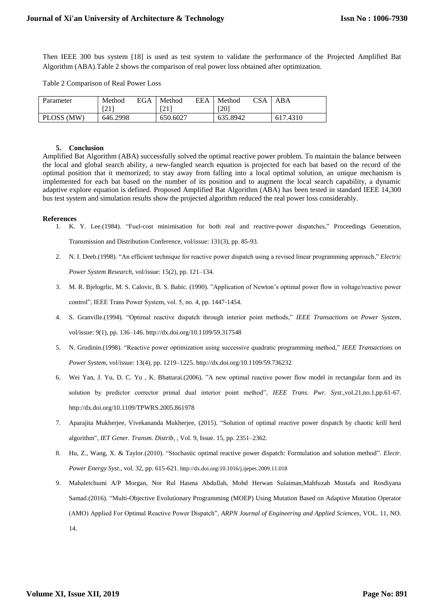Then IEEE 300 bus system [18] is used as test system to validate the performance of the Projected Amplified Bat Algorithm (ABA).Table 2 shows the comparison of real power loss obtained after optimization.

Table 2 Comparison of Real Power Loss

| Parameter  | Method     | EGA | Method                    | <b>EEA</b> | Method   | CSA | ABA          |
|------------|------------|-----|---------------------------|------------|----------|-----|--------------|
|            | $\angle 1$ |     | <u> เวา :</u><br>$\sim$ 1 |            | [20]     |     |              |
| PLOSS (MW) | 646.2998   |     | 650.6027                  |            | 635.8942 |     | .4310<br>617 |

#### **5. Conclusion**

Amplified Bat Algorithm (ABA) successfully solved the optimal reactive power problem. To maintain the balance between the local and global search ability, a new-fangled search equation is projected for each bat based on the record of the optimal position that it memorized; to stay away from falling into a local optimal solution, an unique mechanism is implemented for each bat based on the number of its position and to augment the local search capability, a dynamic adaptive explore equation is defined. Proposed Amplified Bat Algorithm (ABA) has been tested in standard IEEE 14,300 bus test system and simulation results show the projected algorithm reduced the real power loss considerably.

### **References**

- 1. K. Y. Lee.(1984). "Fuel-cost minimisation for both real and reactive-power dispatches," Proceedings Generation, Transmission and Distribution Conference, vol/issue: 131(3), pp. 85-93.
- 2. N. I. Deeb.(1998). "An efficient technique for reactive power dispatch using a revised linear programming approach," *Electric Power System Research*, vol/issue: 15(2), pp. 121–134.
- 3. M. R. Bjelogrlic, M. S. Calovic, B. S. Babic. (1990). "Application of Newton's optimal power flow in voltage/reactive power control", IEEE Trans Power System, vol. 5, no. 4, pp. 1447-1454.
- 4. S. Granville.(1994). "Optimal reactive dispatch through interior point methods," *IEEE Transactions on Power System*, vol/issue: 9(1), pp. 136–146. http://dx.doi.org/10.1109/59.317548
- 5. N. Grudinin.(1998). "Reactive power optimization using successive quadratic programming method," *IEEE Transactions on Power System*, vol/issue: 13(4), pp. 1219–1225. http://dx.doi.org/10.1109/59.736232
- 6. Wei Yan, J. Yu, D. C. Yu , K. Bhattarai.(2006). "A new optimal reactive power flow model in rectangular form and its solution by predictor corrector primal dual interior point method", *IEEE Trans. Pwr. Syst*.,vol.21,no.1,pp.61-67. http://dx.doi.org/10.1109/TPWRS.2005.861978
- 7. Aparajita Mukherjee, Vivekananda Mukherjee, (2015). "Solution of optimal reactive power dispatch by chaotic krill herd algorithm", *IET Gener. Transm. Distrib*, , Vol. 9, Issue. 15, pp. 2351–2362.
- 8. Hu, Z., Wang, X. & Taylor.(2010). "Stochastic optimal reactive power dispatch: Formulation and solution method". *Electr. Power Energy Syst.,* vol. 32, pp. 615-621. http://dx.doi.org/10.1016/j.ijepes.2009.11.018
- 9. Mahaletchumi A/P Morgan, Nor Rul Hasma Abdullah, Mohd Herwan Sulaiman,Mahfuzah Mustafa and Rosdiyana Samad.(2016). "Multi-Objective Evolutionary Programming (MOEP) Using Mutation Based on Adaptive Mutation Operator (AMO) Applied For Optimal Reactive Power Dispatch", *ARPN Journal of Engineering and Applied Sciences*, VOL. 11, NO. 14.